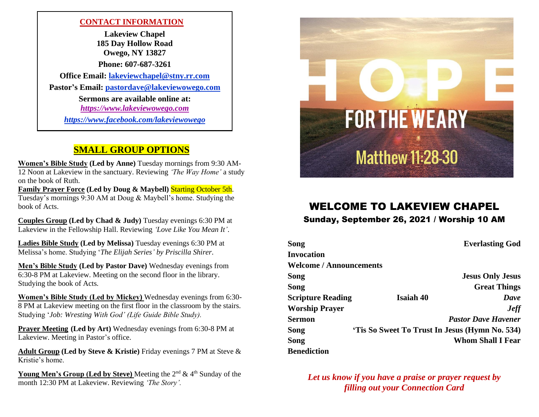### **CONTACT INFORMATION**

**Lakeview Chapel 185 Day Hollow Road Owego, NY 13827 Phone: 607-687-3261 Office Email:<lakeviewchapel@stny.rr.com> Pastor's Email: [pastordave@lakeviewowego.com](mailto:pastordave@lakeviewowego.com) Sermons are available online at:** *https:/[/www.lakeviewowego.com](http://www.lakeviewowego.com/) <https://www.facebook.com/lakeviewowego>*

## **SMALL GROUP OPTIONS**

**Women's Bible Study (Led by Anne)** Tuesday mornings from 9:30 AM-12 Noon at Lakeview in the sanctuary. Reviewing *'The Way Home'* a study on the book of Ruth.

**Family Prayer Force (Led by Doug & Maybell)** Starting October 5th. Tuesday's mornings 9:30 AM at Doug & Maybell's home. Studying the book of Acts.

**Couples Group (Led by Chad & Judy)** Tuesday evenings 6:30 PM at Lakeview in the Fellowship Hall. Reviewing *'Love Like You Mean It'*.

**Ladies Bible Study (Led by Melissa)** Tuesday evenings 6:30 PM at Melissa's home. Studying '*The Elijah Series' by Priscilla Shirer*.

**Men's Bible Study (Led by Pastor Dave)** Wednesday evenings from 6:30-8 PM at Lakeview. Meeting on the second floor in the library. Studying the book of Acts.

**Women's Bible Study (Led by Mickey)** Wednesday evenings from 6:30- 8 PM at Lakeview meeting on the first floor in the classroom by the stairs. Studying '*Job: Wresting With God' (Life Guide Bible Study).*

**Prayer Meeting (Led by Art)** Wednesday evenings from 6:30-8 PM at Lakeview. Meeting in Pastor's office.

**Adult Group (Led by Steve & Kristie)** Friday evenings 7 PM at Steve & Kristie's home.

**Young Men's Group (Led by Steve)** Meeting the 2<sup>nd</sup> & 4<sup>th</sup> Sunday of the month 12:30 PM at Lakeview. Reviewing *'The Story'.*



# WELCOME TO LAKEVIEW CHAPEL

## Sunday, September 26, 2021 / Worship 10 AM

| Song                           |                                                | <b>Everlasting God</b>  |  |
|--------------------------------|------------------------------------------------|-------------------------|--|
| Invocation                     |                                                |                         |  |
| <b>Welcome / Announcements</b> |                                                |                         |  |
| Song                           |                                                | <b>Jesus Only Jesus</b> |  |
| Song                           |                                                | <b>Great Things</b>     |  |
| <b>Scripture Reading</b>       | <b>Isaiah 40</b>                               | Dave                    |  |
| <b>Worship Prayer</b>          |                                                | <b>Jeff</b>             |  |
| Sermon                         | <b>Pastor Dave Havener</b>                     |                         |  |
| Song                           | 'Tis So Sweet To Trust In Jesus (Hymn No. 534) |                         |  |
| Song                           | <b>Whom Shall I Fear</b>                       |                         |  |
| <b>Benediction</b>             |                                                |                         |  |

*Let us know if you have a praise or prayer request by filling out your Connection Card*